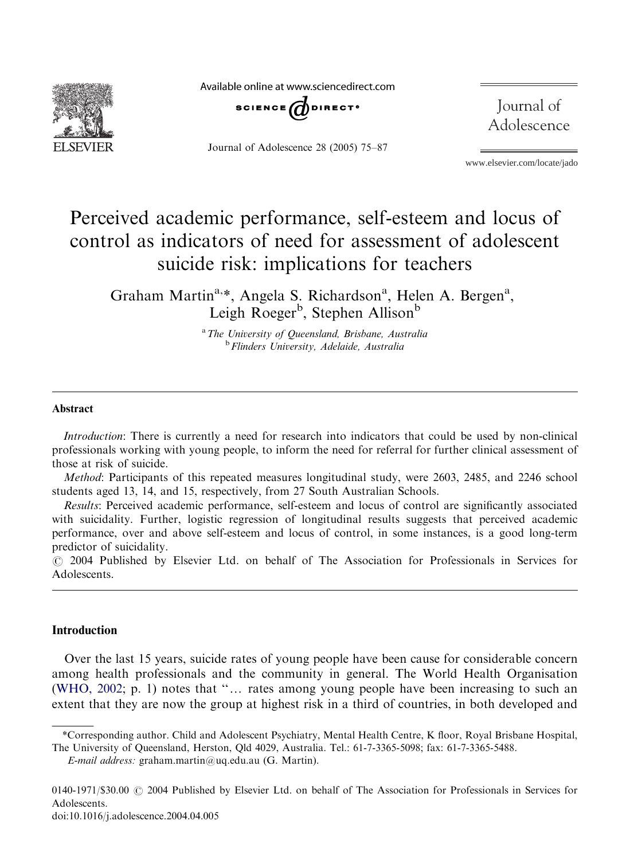

Available online at www.sciencedirect.com



Journal of Adolescence 28 (2005) 75–87

Journal of Adolescence

www.elsevier.com/locate/jado

# Perceived academic performance, self-esteem and locus of control as indicators of need for assessment of adolescent suicide risk: implications for teachers

Graham Martin<sup>a,\*</sup>, Angela S. Richardson<sup>a</sup>, Helen A. Bergen<sup>a</sup>, Leigh Roeger<sup>b</sup>, Stephen Allison<sup>b</sup>

<sup>a</sup>The University of Queensland, Brisbane, Australia **b**Flinders University, Adelaide, Australia

#### Abstract

Introduction: There is currently a need for research into indicators that could be used by non-clinical professionals working with young people, to inform the need for referral for further clinical assessment of those at risk of suicide.

Method: Participants of this repeated measures longitudinal study, were 2603, 2485, and 2246 school students aged 13, 14, and 15, respectively, from 27 South Australian Schools.

Results: Perceived academic performance, self-esteem and locus of control are significantly associated with suicidality. Further, logistic regression of longitudinal results suggests that perceived academic performance, over and above self-esteem and locus of control, in some instances, is a good long-term predictor of suicidality.

r 2004 Published by Elsevier Ltd. on behalf of The Association for Professionals in Services for **Adolescents** 

## Introduction

Over the last 15 years, suicide rates of young people have been cause for considerable concern among health professionals and the community in general. The World Health Organisation [\(WHO, 2002;](#page-12-0) p. 1) notes that " $\ldots$  rates among young people have been increasing to such an extent that they are now the group at highest risk in a third of countries, in both developed and

<sup>\*</sup>Corresponding author. Child and Adolescent Psychiatry, Mental Health Centre, K floor, Royal Brisbane Hospital,

The University of Queensland, Herston, Qld 4029, Australia. Tel.: 61-7-3365-5098; fax: 61-7-3365-5488.

 $E$ -mail address: graham.martin@uq.edu.au (G. Martin).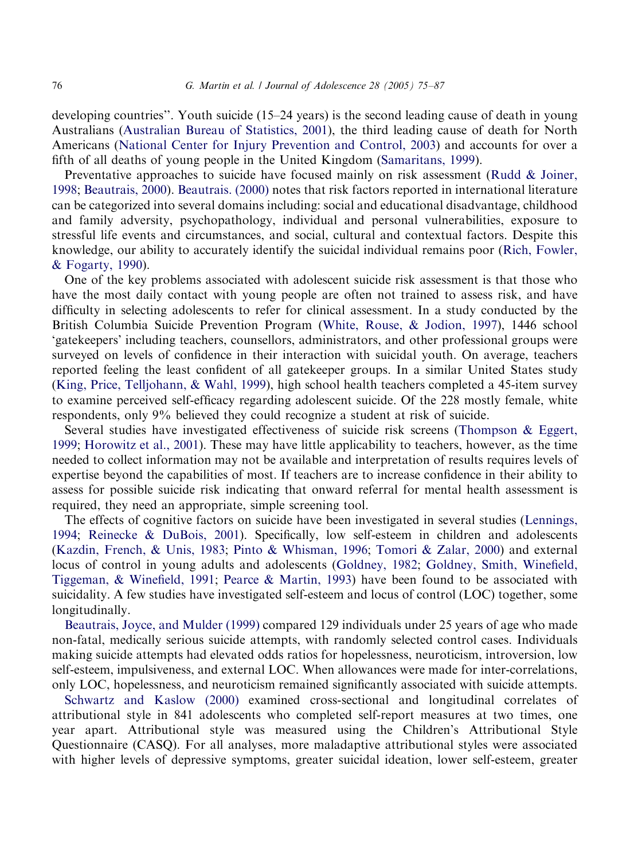developing countries". Youth suicide  $(15–24 \text{ years})$  is the second leading cause of death in young Australians [\(Australian Bureau of Statistics, 2001](#page-11-0)), the third leading cause of death for North Americans ([National Center for Injury Prevention and Control, 2003\)](#page-11-0) and accounts for over a fifth of all deaths of young people in the United Kingdom [\(Samaritans, 1999](#page-12-0)).

Preventative approaches to suicide have focused mainly on risk assessment ([Rudd & Joiner,](#page-12-0) [1998;](#page-12-0) [Beautrais, 2000](#page-11-0)). [Beautrais. \(2000\)](#page-11-0) notes that risk factors reported in international literature can be categorized into several domains including: social and educational disadvantage, childhood and family adversity, psychopathology, individual and personal vulnerabilities, exposure to stressful life events and circumstances, and social, cultural and contextual factors. Despite this knowledge, our ability to accurately identify the suicidal individual remains poor [\(Rich, Fowler,](#page-12-0) [& Fogarty, 1990](#page-12-0)).

One of the key problems associated with adolescent suicide risk assessment is that those who have the most daily contact with young people are often not trained to assess risk, and have difficulty in selecting adolescents to refer for clinical assessment. In a study conducted by the British Columbia Suicide Prevention Program ([White, Rouse,](#page-12-0) & [Jodion, 1997\)](#page-12-0), 1446 school 'gatekeepers' including teachers, counsellors, administrators, and other professional groups were surveyed on levels of confidence in their interaction with suicidal youth. On average, teachers reported feeling the least confident of all gatekeeper groups. In a similar United States study [\(King, Price, Telljohann, & Wahl, 1999\)](#page-11-0), high school health teachers completed a 45-item survey to examine perceived self-efficacy regarding adolescent suicide. Of the 228 mostly female, white respondents, only 9% believed they could recognize a student at risk of suicide.

Several studies have investigated effectiveness of suicide risk screens [\(Thompson & Eggert,](#page-12-0) [1999;](#page-12-0) [Horowitz et al., 2001\)](#page-11-0). These may have little applicability to teachers, however, as the time needed to collect information may not be available and interpretation of results requires levels of expertise beyond the capabilities of most. If teachers are to increase confidence in their ability to assess for possible suicide risk indicating that onward referral for mental health assessment is required, they need an appropriate, simple screening tool.

The effects of cognitive factors on suicide have been investigated in several studies [\(Lennings,](#page-11-0) [1994;](#page-11-0) [Reinecke](#page-12-0) & [DuBois, 2001](#page-12-0)). Specifically, low self-esteem in children and adolescents [\(Kazdin, French,](#page-11-0) & [Unis, 1983](#page-11-0); [Pinto](#page-12-0) & [Whisman, 1996;](#page-12-0) [Tomori & Zalar, 2000\)](#page-12-0) and external locus of control in young adults and adolescents ([Goldney, 1982;](#page-11-0) [Goldney, Smith, Winefield,](#page-11-0) [Tiggeman, & Winefield, 1991;](#page-11-0) [Pearce](#page-12-0) & [Martin, 1993\)](#page-12-0) have been found to be associated with suicidality. A few studies have investigated self-esteem and locus of control (LOC) together, some longitudinally.

[Beautrais, Joyce, and Mulder \(1999\)](#page-11-0) compared 129 individuals under 25 years of age who made non-fatal, medically serious suicide attempts, with randomly selected control cases. Individuals making suicide attempts had elevated odds ratios for hopelessness, neuroticism, introversion, low self-esteem, impulsiveness, and external LOC. When allowances were made for inter-correlations, only LOC, hopelessness, and neuroticism remained significantly associated with suicide attempts.

[Schwartz and Kaslow \(2000\)](#page-12-0) examined cross-sectional and longitudinal correlates of attributional style in 841 adolescents who completed self-report measures at two times, one year apart. Attributional style was measured using the Children's Attributional Style Questionnaire (CASQ). For all analyses, more maladaptive attributional styles were associated with higher levels of depressive symptoms, greater suicidal ideation, lower self-esteem, greater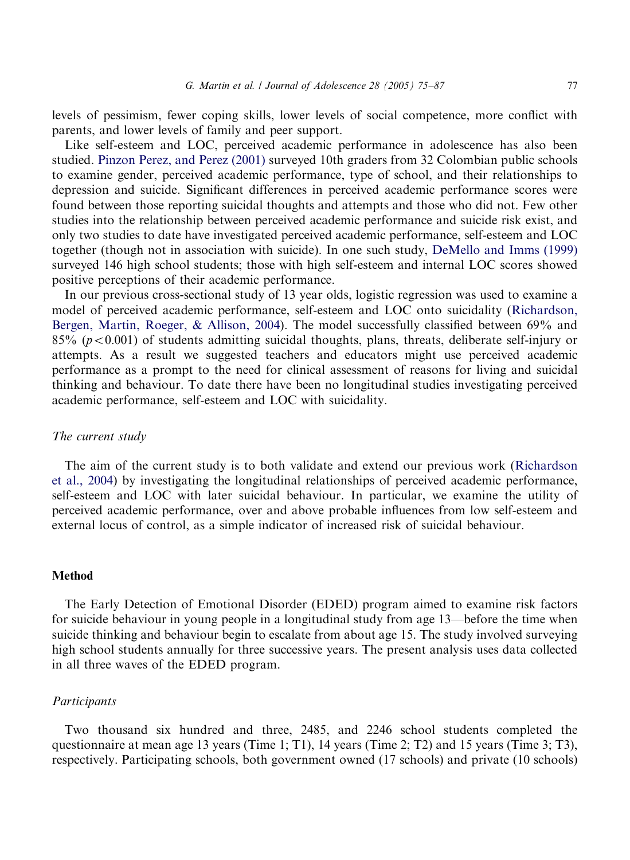levels of pessimism, fewer coping skills, lower levels of social competence, more conflict with parents, and lower levels of family and peer support.

Like self-esteem and LOC, perceived academic performance in adolescence has also been studied. [Pinzon Perez, and Perez \(2001\)](#page-12-0) surveyed 10th graders from 32 Colombian public schools to examine gender, perceived academic performance, type of school, and their relationships to depression and suicide. Significant differences in perceived academic performance scores were found between those reporting suicidal thoughts and attempts and those who did not. Few other studies into the relationship between perceived academic performance and suicide risk exist, and only two studies to date have investigated perceived academic performance, self-esteem and LOC together (though not in association with suicide). In one such study, [DeMello and Imms \(1999\)](#page-11-0) surveyed 146 high school students; those with high self-esteem and internal LOC scores showed positive perceptions of their academic performance.

In our previous cross-sectional study of 13 year olds, logistic regression was used to examine a model of perceived academic performance, self-esteem and LOC onto suicidality ([Richardson,](#page-12-0) [Bergen, Martin, Roeger,](#page-12-0) & [Allison, 2004\)](#page-12-0). The model successfully classified between 69% and 85% ( $p < 0.001$ ) of students admitting suicidal thoughts, plans, threats, deliberate self-injury or attempts. As a result we suggested teachers and educators might use perceived academic performance as a prompt to the need for clinical assessment of reasons for living and suicidal thinking and behaviour. To date there have been no longitudinal studies investigating perceived academic performance, self-esteem and LOC with suicidality.

## The current study

The aim of the current study is to both validate and extend our previous work ([Richardson](#page-12-0) [et al., 2004\)](#page-12-0) by investigating the longitudinal relationships of perceived academic performance, self-esteem and LOC with later suicidal behaviour. In particular, we examine the utility of perceived academic performance, over and above probable influences from low self-esteem and external locus of control, as a simple indicator of increased risk of suicidal behaviour.

## Method

The Early Detection of Emotional Disorder (EDED) program aimed to examine risk factors for suicide behaviour in young people in a longitudinal study from age 13—before the time when suicide thinking and behaviour begin to escalate from about age 15. The study involved surveying high school students annually for three successive years. The present analysis uses data collected in all three waves of the EDED program.

## **Participants**

Two thousand six hundred and three, 2485, and 2246 school students completed the questionnaire at mean age 13 years (Time 1; T1), 14 years (Time 2; T2) and 15 years (Time 3; T3), respectively. Participating schools, both government owned (17 schools) and private (10 schools)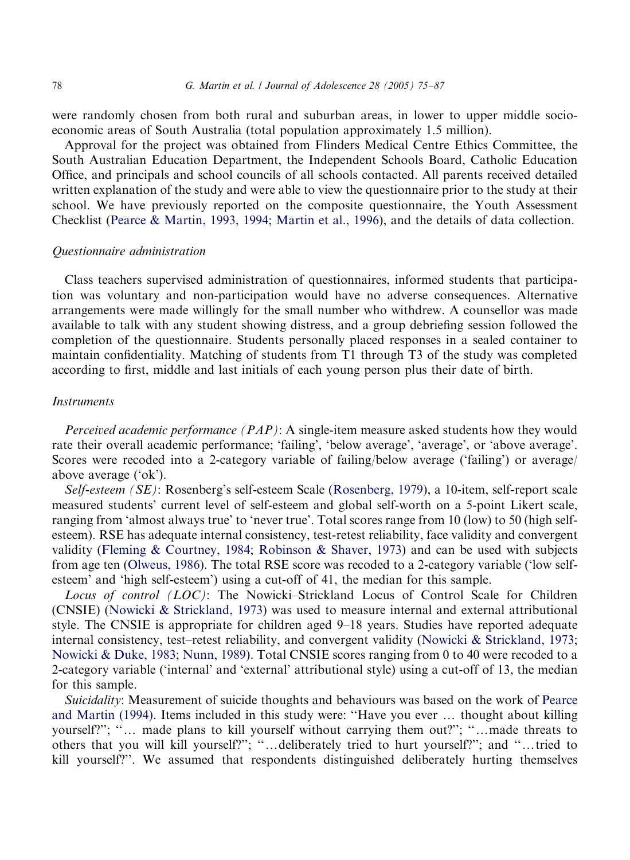were randomly chosen from both rural and suburban areas, in lower to upper middle socioeconomic areas of South Australia (total population approximately 1.5 million).

Approval for the project was obtained from Flinders Medical Centre Ethics Committee, the South Australian Education Department, the Independent Schools Board, Catholic Education Office, and principals and school councils of all schools contacted. All parents received detailed written explanation of the study and were able to view the questionnaire prior to the study at their school. We have previously reported on the composite questionnaire, the Youth Assessment Checklist [\(Pearce & Martin, 1993, 1994](#page-12-0); [Martin et al., 1996\)](#page-11-0), and the details of data collection.

#### Questionnaire administration

Class teachers supervised administration of questionnaires, informed students that participation was voluntary and non-participation would have no adverse consequences. Alternative arrangements were made willingly for the small number who withdrew. A counsellor was made available to talk with any student showing distress, and a group debriefing session followed the completion of the questionnaire. Students personally placed responses in a sealed container to maintain confidentiality. Matching of students from T1 through T3 of the study was completed according to first, middle and last initials of each young person plus their date of birth.

#### **Instruments**

Perceived academic performance (PAP): A single-item measure asked students how they would rate their overall academic performance; 'failing', 'below average', 'average', or 'above average'. Scores were recoded into a 2-category variable of failing/below average ('failing') or average/ above average ('ok').

Self-esteem (SE): Rosenberg's self-esteem Scale ([Rosenberg, 1979\)](#page-12-0), a 10-item, self-report scale measured students' current level of self-esteem and global self-worth on a 5-point Likert scale, ranging from 'almost always true' to 'never true'. Total scores range from 10 (low) to 50 (high selfesteem). RSE has adequate internal consistency, test-retest reliability, face validity and convergent validity ([Fleming](#page-11-0) & [Courtney, 1984](#page-11-0); [Robinson](#page-12-0) & [Shaver, 1973](#page-12-0)) and can be used with subjects from age ten [\(Olweus, 1986\)](#page-12-0). The total RSE score was recoded to a 2-category variable ('low selfesteem' and 'high self-esteem') using a cut-off of 41, the median for this sample.

Locus of control (LOC): The Nowicki–Strickland Locus of Control Scale for Children (CNSIE) [\(Nowicki & Strickland, 1973](#page-11-0)) was used to measure internal and external attributional style. The CNSIE is appropriate for children aged 9–18 years. Studies have reported adequate internal consistency, test–retest reliability, and convergent validity [\(Nowicki](#page-11-0) & [Strickland, 1973](#page-11-0); [Nowicki](#page-11-0) & [Duke, 1983](#page-11-0); [Nunn, 1989\)](#page-11-0). Total CNSIE scores ranging from 0 to 40 were recoded to a 2-category variable ('internal' and 'external' attributional style) using a cut-off of 13, the median for this sample.

Suicidality: Measurement of suicide thoughts and behaviours was based on the work of [Pearce](#page-12-0) [and Martin \(1994\)](#page-12-0). Items included in this study were: "Have you ever ... thought about killing yourself?"; "... made plans to kill yourself without carrying them out?"; "...made threats to others that you will kill yourself?"; "...deliberately tried to hurt yourself?"; and "...tried to kill yourself?''. We assumed that respondents distinguished deliberately hurting themselves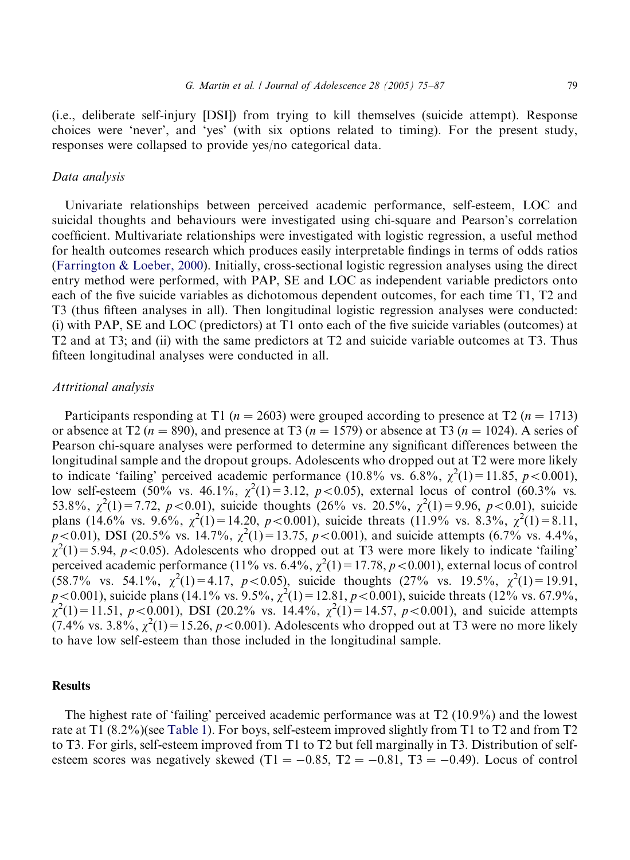(i.e., deliberate self-injury [DSI]) from trying to kill themselves (suicide attempt). Response choices were 'never', and 'yes' (with six options related to timing). For the present study, responses were collapsed to provide yes/no categorical data.

### Data analysis

Univariate relationships between perceived academic performance, self-esteem, LOC and suicidal thoughts and behaviours were investigated using chi-square and Pearson's correlation coefficient. Multivariate relationships were investigated with logistic regression, a useful method for health outcomes research which produces easily interpretable findings in terms of odds ratios [\(Farrington](#page-11-0) [& Loeber, 2000\)](#page-11-0). Initially, cross-sectional logistic regression analyses using the direct entry method were performed, with PAP, SE and LOC as independent variable predictors onto each of the five suicide variables as dichotomous dependent outcomes, for each time T1, T2 and T3 (thus fifteen analyses in all). Then longitudinal logistic regression analyses were conducted: (i) withPAP, SE and LOC (predictors) at T1 onto eachof the five suicide variables (outcomes) at T2 and at T3; and (ii) with the same predictors at T2 and suicide variable outcomes at T3. Thus fifteen longitudinal analyses were conducted in all.

## Attritional analysis

Participants responding at T1 ( $n = 2603$ ) were grouped according to presence at T2 ( $n = 1713$ ) or absence at T2 ( $n = 890$ ), and presence at T3 ( $n = 1579$ ) or absence at T3 ( $n = 1024$ ). A series of Pearson chi-square analyses were performed to determine any significant differences between the longitudinal sample and the dropout groups. Adolescents who dropped out at T2 were more likely to indicate 'failing' perceived academic performance (10.8% vs. 6.8%,  $\chi^2(1) = 11.85$ ,  $p < 0.001$ ), low self-esteem (50% vs. 46.1%,  $\chi^2(1) = 3.12$ ,  $p < 0.05$ ), external locus of control (60.3% vs. 53.8%,  $\chi^2(1) = 7.72$ ,  $p < 0.01$ ), suicide thoughts (26% vs. 20.5%,  $\chi^2(1) = 9.96$ ,  $p < 0.01$ ), suicide plans (14.6% vs. 9.6%,  $\chi^2(1) = 14.20$ ,  $p < 0.001$ ), suicide threats (11.9% vs. 8.3%,  $\chi^2(1) = 8.11$ ,  $p < 0.01$ ), DSI (20.5% vs. 14.7%,  $\chi^2(1) = 13.75$ ,  $p < 0.001$ ), and suicide attempts (6.7% vs. 4.4%,  $\chi^2(1)$  = 5.94, p < 0.05). Adolescents who dropped out at T3 were more likely to indicate 'failing' perceived academic performance (11% vs. 6.4%,  $\chi^2(1) = 17.78$ ,  $p < 0.001$ ), external locus of control  $(58.7\% \text{ vs. } 54.1\%, \chi^2(1)=4.17, p<0.05)$ , suicide thoughts  $(27\% \text{ vs. } 19.5\%, \chi^2(1)=19.91,$  $p < 0.001$ ), suicide plans (14.1% vs. 9.5%,  $\chi^2(1) = 12.81$ ,  $p < 0.001$ ), suicide threats (12% vs. 67.9%,  $\chi^2(1) = 11.51, p < 0.001$ ), DSI (20.2% vs. 14.4%,  $\chi^2(1) = 14.57, p < 0.001$ ), and suicide attempts  $(7.4\% \text{ vs. } 3.8\%, \chi^2(1) = 15.26, p < 0.001)$ . Adolescents who dropped out at T3 were no more likely to have low self-esteem than those included in the longitudinal sample.

### **Results**

The highest rate of 'failing' perceived academic performance was at T2 (10.9%) and the lowest rate at T1 (8.2%)(see [Table 1](#page-5-0)). For boys, self-esteem improved slightly from T1 to T2 and from T2 to T3. For girls, self-esteem improved from T1 to T2 but fell marginally in T3. Distribution of selfesteem scores was negatively skewed  $(T1 = -0.85, T2 = -0.81, T3 = -0.49)$ . Locus of control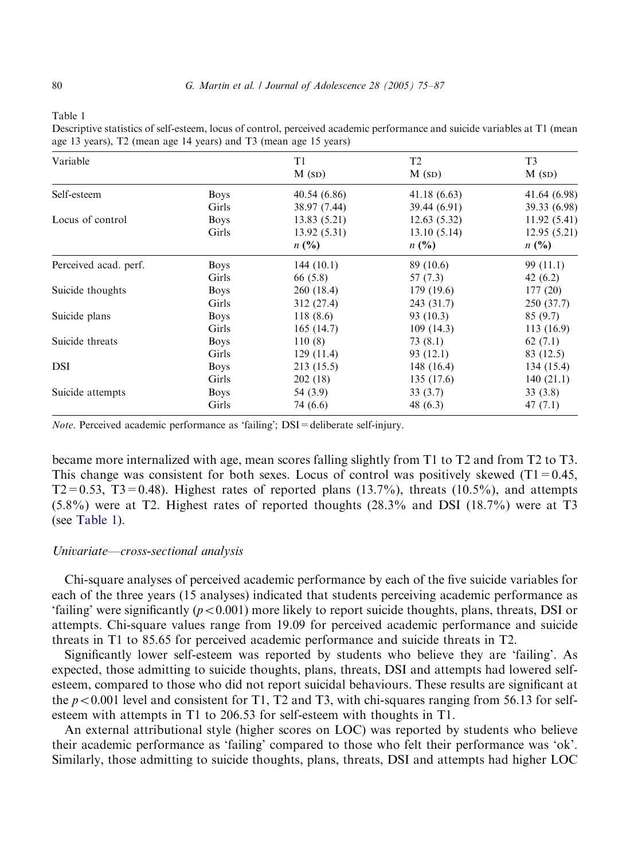<span id="page-5-0"></span>

| ۰,<br>ı<br>×<br>I |  |
|-------------------|--|
|-------------------|--|

| Descriptive statistics of self-esteem, locus of control, perceived academic performance and suicide variables at T1 (mean |
|---------------------------------------------------------------------------------------------------------------------------|
| age 13 years), T2 (mean age 14 years) and T3 (mean age 15 years)                                                          |

| Variable              |             | T1           | T <sub>2</sub> | T <sub>3</sub> |
|-----------------------|-------------|--------------|----------------|----------------|
|                       |             | M(SD)        | M(SD)          | M(SD)          |
| Self-esteem           | <b>Boys</b> | 40.54 (6.86) | 41.18(6.63)    | 41.64 (6.98)   |
|                       | Girls       | 38.97 (7.44) | 39.44 (6.91)   | 39.33 (6.98)   |
| Locus of control      | <b>Boys</b> | 13.83(5.21)  | 12.63(5.32)    | 11.92(5.41)    |
|                       | Girls       | 13.92(5.31)  | 13.10(5.14)    | 12.95(5.21)    |
|                       |             | n(%)         | n(%)           | n(%)           |
| Perceived acad. perf. | <b>Boys</b> | 144(10.1)    | 89 (10.6)      | 99 (11.1)      |
|                       | Girls       | 66 (5.8)     | 57 (7.3)       | 42 $(6.2)$     |
| Suicide thoughts      | <b>Boys</b> | 260 (18.4)   | 179 (19.6)     | 177(20)        |
|                       | Girls       | 312 (27.4)   | 243 (31.7)     | 250 (37.7)     |
| Suicide plans         | <b>Boys</b> | 118(8.6)     | 93 (10.3)      | 85(9.7)        |
|                       | Girls       | 165(14.7)    | 109(14.3)      | 113(16.9)      |
| Suicide threats       | <b>Boys</b> | 110(8)       | 73 (8.1)       | 62 $(7.1)$     |
|                       | Girls       | 129(11.4)    | 93 (12.1)      | 83 (12.5)      |
| DSI                   | <b>Boys</b> | 213 (15.5)   | 148 (16.4)     | 134 (15.4)     |
|                       | Girls       | 202(18)      | 135 (17.6)     | 140(21.1)      |
| Suicide attempts      | <b>Boys</b> | 54 (3.9)     | 33(3.7)        | 33(3.8)        |
|                       | Girls       | 74 (6.6)     | 48 (6.3)       | 47(7.1)        |

Note. Perceived academic performance as 'failing'; DSI = deliberate self-injury.

became more internalized with age, mean scores falling slightly from T1 to T2 and from T2 to T3. This change was consistent for both sexes. Locus of control was positively skewed  $(T1=0.45,$  $T2=0.53$ ,  $T3=0.48$ ). Highest rates of reported plans (13.7%), threats (10.5%), and attempts (5.8%) were at T2. Highest rates of reported thoughts (28.3% and DSI (18.7%) were at T3 (see Table 1).

#### Univariate—cross-sectional analysis

Chi-square analyses of perceived academic performance by each of the five suicide variables for each of the three years (15 analyses) indicated that students perceiving academic performance as 'failing' were significantly ( $p < 0.001$ ) more likely to report suicide thoughts, plans, threats, DSI or attempts. Chi-square values range from 19.09 for perceived academic performance and suicide threats in T1 to 85.65 for perceived academic performance and suicide threats in T2.

Significantly lower self-esteem was reported by students who believe they are 'failing'. As expected, those admitting to suicide thoughts, plans, threats, DSI and attempts had lowered selfesteem, compared to those who did not report suicidal behaviours. These results are significant at the  $p < 0.001$  level and consistent for T1, T2 and T3, with chi-squares ranging from 56.13 for selfesteem with attempts in T1 to 206.53 for self-esteem with thoughts in T1.

An external attributional style (higher scores on LOC) was reported by students who believe their academic performance as 'failing' compared to those who felt their performance was 'ok'. Similarly, those admitting to suicide thoughts, plans, threats, DSI and attempts had higher LOC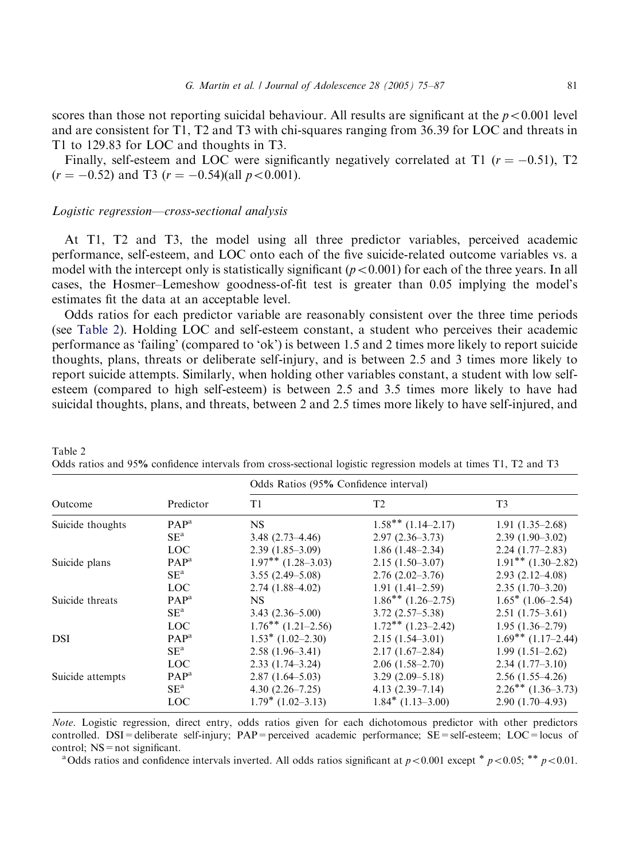scores than those not reporting suicidal behaviour. All results are significant at the  $p < 0.001$  level and are consistent for T1, T2 and T3 with chi-squares ranging from 36.39 for LOC and threats in T1 to 129.83 for LOC and thoughts in T3.

Finally, self-esteem and LOC were significantly negatively correlated at T1 ( $r = -0.51$ ), T2  $(r = -0.52)$  and T3  $(r = -0.54)$ (all  $p < 0.001$ ).

## Logistic regression—cross-sectional analysis

Table 2

At T1, T2 and T3, the model using all three predictor variables, perceived academic performance, self-esteem, and LOC onto eachof the five suicide-related outcome variables vs. a model with the intercept only is statistically significant  $(p<0.001)$  for each of the three years. In all cases, the Hosmer–Lemeshow goodness-of-fit test is greater than 0.05 implying the model's estimates fit the data at an acceptable level.

Odds ratios for each predictor variable are reasonably consistent over the three time periods (see Table 2). Holding LOC and self-esteem constant, a student who perceives their academic performance as 'failing' (compared to 'ok') is between 1.5 and 2 times more likely to report suicide thoughts, plans, threats or deliberate self-injury, and is between 2.5 and 3 times more likely to report suicide attempts. Similarly, when holding other variables constant, a student with low selfesteem (compared to high self-esteem) is between 2.5 and 3.5 times more likely to have had suicidal thoughts, plans, and threats, between 2 and 2.5 times more likely to have self-injured, and

|                  |                  | Odds Ratios (95% Confidence interval) |                         |                         |
|------------------|------------------|---------------------------------------|-------------------------|-------------------------|
| Outcome          | Predictor        | T1                                    | T <sub>2</sub>          | T <sub>3</sub>          |
| Suicide thoughts | $PAP^a$          | <b>NS</b>                             | $1.58***(1.14-2.17)$    | $1.91(1.35-2.68)$       |
|                  | $SE^a$           | $3.48(2.73 - 4.46)$                   | $2.97(2.36-3.73)$       | $2.39(1.90-3.02)$       |
|                  | LOC              | $2.39(1.85-3.09)$                     | $1.86(1.48-2.34)$       | $2.24(1.77-2.83)$       |
| Suicide plans    | PAP <sup>a</sup> | $1.97***$ $(1.28-3.03)$               | $2.15(1.50-3.07)$       | $1.91***$ $(1.30-2.82)$ |
|                  | $SE^a$           | $3.55(2.49 - 5.08)$                   | $2.76(2.02 - 3.76)$     | $2.93(2.12 - 4.08)$     |
|                  | <b>LOC</b>       | $2.74(1.88-4.02)$                     | $1.91(1.41-2.59)$       | $2.35(1.70-3.20)$       |
| Suicide threats  | PAP <sup>a</sup> | <b>NS</b>                             | $1.86***(1.26-2.75)$    | $1.65*$ (1.06–2.54)     |
|                  | $SE^a$           | $3.43(2.36 - 5.00)$                   | $3.72(2.57 - 5.38)$     | $2.51(1.75-3.61)$       |
|                  | <b>LOC</b>       | $1.76***$ $(1.21-2.56)$               | $1.72***$ $(1.23-2.42)$ | $1.95(1.36-2.79)$       |
| DSI              | PAP <sup>a</sup> | $1.53^*$ (1.02–2.30)                  | $2.15(1.54 - 3.01)$     | $1.69***$ $(1.17-2.44)$ |
|                  | $SE^a$           | $2.58(1.96-3.41)$                     | $2.17(1.67-2.84)$       | $1.99(1.51-2.62)$       |
|                  | <b>LOC</b>       | $2.33(1.74 - 3.24)$                   | $2.06(1.58-2.70)$       | $2.34(1.77-3.10)$       |
| Suicide attempts | PAP <sup>a</sup> | $2.87(1.64 - 5.03)$                   | $3.29(2.09 - 5.18)$     | $2.56(1.55-4.26)$       |
|                  | $SE^a$           | $4.30(2.26 - 7.25)$                   | $4.13(2.39 - 7.14)$     | $2.26***$ (1.36–3.73)   |
|                  | <b>LOC</b>       | $1.79*$ (1.02-3.13)                   | $1.84*$ (1.13–3.00)     | $2.90(1.70-4.93)$       |

Odds ratios and 95% confidence intervals from cross-sectional logistic regression models at times T1, T2 and T3

Note. Logistic regression, direct entry, odds ratios given for each dichotomous predictor with other predictors controlled. DSI=deliberate self-injury; PAP=perceived academic performance; SE=self-esteem; LOC=locus of control;  $NS = not$  significant.

<sup>a</sup> Odds ratios and confidence intervals inverted. All odds ratios significant at  $p < 0.001$  except  $p < 0.05$ ;  $\alpha p > 0.01$ .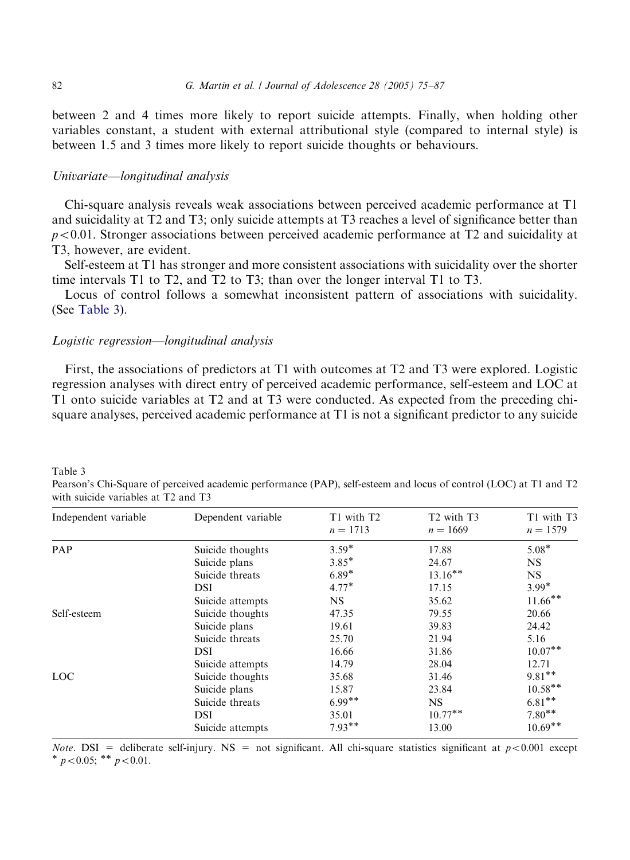between 2 and 4 times more likely to report suicide attempts. Finally, when holding other variables constant, a student with external attributional style (compared to internal style) is between 1.5 and 3 times more likely to report suicide thoughts or behaviours.

## Univariate—longitudinal analysis

Chi-square analysis reveals weak associations between perceived academic performance at T1 and suicidality at T2 and T3; only suicide attempts at T3 reaches a level of significance better than  $p<0.01$ . Stronger associations between perceived academic performance at T2 and suicidality at T3, however, are evident.

Self-esteem at T1 has stronger and more consistent associations with suicidality over the shorter time intervals T1 to T2, and T2 to T3; than over the longer interval T1 to T3.

Locus of control follows a somewhat inconsistent pattern of associations with suicidality. (See Table 3).

#### Logistic regression—longitudinal analysis

First, the associations of predictors at T1 with outcomes at T2 and T3 were explored. Logistic regression analyses with direct entry of perceived academic performance, self-esteem and LOC at T1 onto suicide variables at T2 and at T3 were conducted. As expected from the preceding chisquare analyses, perceived academic performance at T1 is not a significant predictor to any suicide

Independent variable Dependent variable T1 with T2  $n = 1713$ T<sub>2</sub> with T<sub>3</sub>  $n = 1669$ T1 with T3  $n = 1579$ PAP Suicide thoughts 3.59<sup>\*</sup> 17.88 5.08<sup>\*</sup> Suicide plans  $3.85^*$  24.67 NS<br>
Suicide threats  $6.89^*$  13.16<sup>\*\*</sup> NS Suicide threats  $6.89^*$   $13.16^{**}$  NS<br>DSI  $4.77^*$   $17.15$   $3.99^*$ DSI  $4.77^*$   $17.15$   $3.99^*$ **DSI**  $4.77^*$   $17.15$   $3.99^*$ <br>Suicide attempts NS  $35.62$   $11.66^{**}$ Self-esteem Suicide thoughts 47.35 79.55 20.66 Suicide plans 19.61 39.83 24.42 Suicide threats 25.70 21.94 5.16 DSI 16.66 31.86 10.07<sup>\*\*</sup> Suicide attempts 14.79 28.04 12.71  $\frac{1200}{2000}$  Suicide thoughts  $\frac{35.68}{31.46}$   $\frac{1200}{9.81}$ Suicide thoughts<br>
Suicide plans<br>
Suicide threats<br>
Suicide threats<br>  $6.99**$ <br>
Suicide threats<br>  $6.99**$ <br>
NS<br>
Suicide 5.81\*\* Suicide threats  $6.99^{**}$  NS  $6.81^{**}$ <br>DSI  $35.01$   $10.77^{**}$   $7.80^{**}$  $DSI$   $35.01$   $10.77**$   $7.80**$ DSI 35.01 10.77<sup>\*\*</sup> 7.80<sup>\*\*</sup><br>Suicide attempts 7.93<sup>\*\*</sup> 13.00 10.69<sup>\*\*</sup>

Table 3 Pearson's Chi-Square of perceived academic performance (PAP), self-esteem and locus of control (LOC) at T1 and T2 with suicide variables at T2 and T3

*Note.* DSI = deliberate self-injury. NS = not significant. All chi-square statistics significant at  $p < 0.001$  except  $p < 0.05$ ;  $\binom{p}{p} < 0.01$ .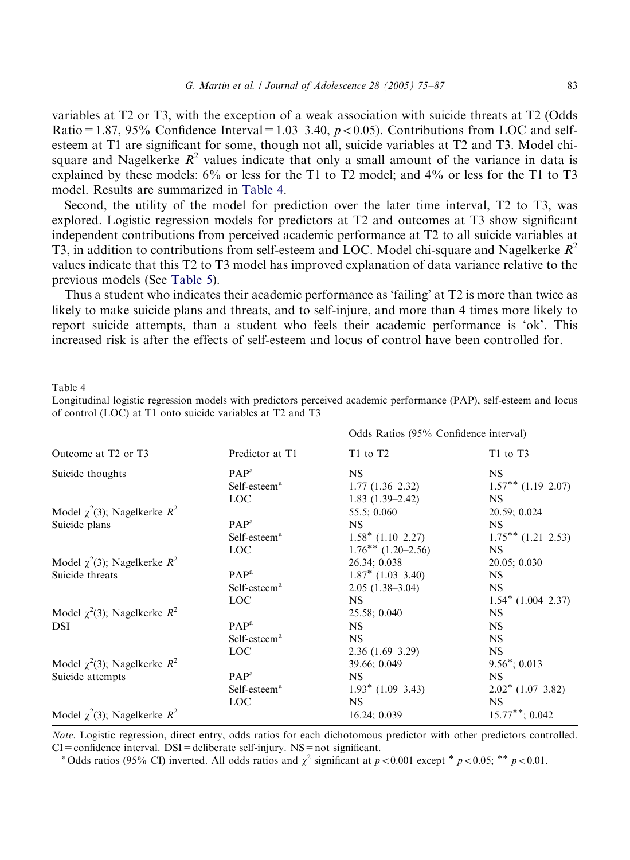<span id="page-8-0"></span>variables at  $T_2$  or  $T_3$ , with the exception of a weak association with suicide threats at  $T_2$  (Odds) Ratio=1.87, 95% Confidence Interval=1.03–3.40,  $p < 0.05$ ). Contributions from LOC and selfesteem at T1 are significant for some, though not all, suicide variables at T2 and T3. Model chisquare and Nagelkerke  $R^2$  values indicate that only a small amount of the variance in data is explained by these models: 6% or less for the T1 to T2 model; and 4% or less for the T1 to T3 model. Results are summarized in Table 4.

Second, the utility of the model for prediction over the later time interval, T2 to T3, was explored. Logistic regression models for predictors at T2 and outcomes at T3 show significant independent contributions from perceived academic performance at T2 to all suicide variables at T3, in addition to contributions from self-esteem and LOC. Model chi-square and Nagelkerke  $R^2$ values indicate that this T2 to T3 model has improved explanation of data variance relative to the previous models (See [Table 5\)](#page-9-0).

Thus a student who indicates their academic performance as 'failing' at T2 is more than twice as likely to make suicide plans and threats, and to self-injure, and more than 4 times more likely to report suicide attempts, than a student who feels their academic performance is 'ok'. This increased risk is after the effects of self-esteem and locus of control have been controlled for.

Table 4

Longitudinal logistic regression models with predictors perceived academic performance (PAP), self-esteem and locus of control (LOC) at T1 onto suicide variables at T2 and T3

|                                             |                          | Odds Ratios (95% Confidence interval) |                         |
|---------------------------------------------|--------------------------|---------------------------------------|-------------------------|
| Outcome at T <sub>2</sub> or T <sub>3</sub> | Predictor at T1          | T <sub>1</sub> to T <sub>2</sub>      | T1 to T3                |
| Suicide thoughts                            | PAP <sup>a</sup>         | <b>NS</b>                             | <b>NS</b>               |
|                                             | Self-esteem <sup>a</sup> | $1.77(1.36-2.32)$                     | $1.57***$ $(1.19-2.07)$ |
|                                             | <b>LOC</b>               | $1.83(1.39-2.42)$                     | <b>NS</b>               |
| Model $\chi^2(3)$ ; Nagelkerke $R^2$        |                          | 55.5; 0.060                           | 20.59; 0.024            |
| Suicide plans                               | PAP <sup>a</sup>         | NS.                                   | NS.                     |
|                                             | Self-esteem <sup>a</sup> | $1.58*$ (1.10–2.27)                   | $1.75***$ $(1.21-2.53)$ |
|                                             | LOC.                     | $1.76***(1.20-2.56)$                  | <b>NS</b>               |
| Model $\chi^2(3)$ ; Nagelkerke $R^2$        |                          | 26.34; 0.038                          | 20.05; 0.030            |
| Suicide threats                             | PAP <sup>a</sup>         | $1.87^*$ (1.03-3.40)                  | NS.                     |
|                                             | Self-esteem <sup>a</sup> | $2.05(1.38-3.04)$                     | <b>NS</b>               |
|                                             | LOC <sup>1</sup>         | NS.                                   | $1.54*(1.004-2.37)$     |
| Model $\chi^2(3)$ ; Nagelkerke $R^2$        |                          | 25.58; 0.040                          | <b>NS</b>               |
| <b>DSI</b>                                  | PAP <sup>a</sup>         | NS.                                   | <b>NS</b>               |
|                                             | Self-esteem <sup>a</sup> | NS.                                   | <b>NS</b>               |
|                                             | <b>LOC</b>               | $2.36(1.69-3.29)$                     | <b>NS</b>               |
| Model $\chi^2(3)$ ; Nagelkerke $R^2$        |                          | 39.66; 0.049                          | $9.56^{\ast}; 0.013$    |
| Suicide attempts                            | PAP <sup>a</sup>         | NS.                                   | NS.                     |
|                                             | Self-esteem <sup>a</sup> | $1.93^*$ (1.09–3.43)                  | $2.02^*$ (1.07-3.82)    |
|                                             | LOC                      | <b>NS</b>                             | <b>NS</b>               |
| Model $\chi^2(3)$ ; Nagelkerke $R^2$        |                          | 16.24; 0.039                          | $15.77***; 0.042$       |

Note. Logistic regression, direct entry, odds ratios for each dichotomous predictor with other predictors controlled. CI=confidence interval. DSI=deliberate self-injury. NS=not significant.<br><sup>a</sup>Odds ratios (95% CI) inverted. All odds ratios and  $\chi^2$  significant at p<0.001 except  $*$  p<0.05;  $*$  p<0.01.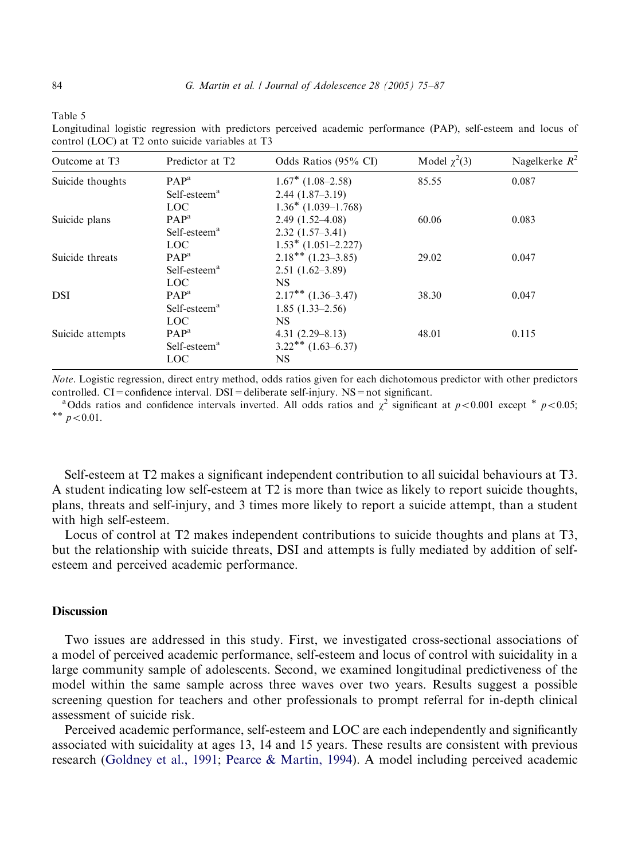<span id="page-9-0"></span>

| able |  |
|------|--|
|------|--|

Longitudinal logistic regression with predictors perceived academic performance (PAP), self-esteem and locus of control (LOC) at T2 onto suicide variables at T3

| Outcome at T3    | Predictor at T <sub>2</sub> | Odds Ratios (95% CI)    | Model $\chi^2(3)$ | Nagelkerke $R^2$ |
|------------------|-----------------------------|-------------------------|-------------------|------------------|
| Suicide thoughts | $PAP^a$                     | $1.67^*$ (1.08–2.58)    | 85.55             | 0.087            |
|                  | Self-esteem <sup>a</sup>    | $2.44(1.87-3.19)$       |                   |                  |
|                  | <b>LOC</b>                  | $1.36*$ (1.039–1.768)   |                   |                  |
| Suicide plans    | $PAP^a$                     | $2.49(1.52 - 4.08)$     | 60.06             | 0.083            |
|                  | Self-esteem <sup>a</sup>    | $2.32(1.57-3.41)$       |                   |                  |
|                  | LOC.                        | $1.53^*$ (1.051-2.227)  |                   |                  |
| Suicide threats  | $PAP^a$                     | $2.18***(1.23-3.85)$    | 29.02             | 0.047            |
|                  | Self-esteem <sup>a</sup>    | $2.51(1.62 - 3.89)$     |                   |                  |
|                  | LOC.                        | <b>NS</b>               |                   |                  |
| DSI              | $PAP^a$                     | $2.17***$ $(1.36-3.47)$ | 38.30             | 0.047            |
|                  | Self-esteem <sup>a</sup>    | $1.85(1.33-2.56)$       |                   |                  |
|                  | <b>LOC</b>                  | <b>NS</b>               |                   |                  |
| Suicide attempts | PAP <sup>a</sup>            | $4.31(2.29 - 8.13)$     | 48.01             | 0.115            |
|                  | Self-esteem <sup>a</sup>    | $3.22***$ $(1.63-6.37)$ |                   |                  |
|                  | <b>LOC</b>                  | <b>NS</b>               |                   |                  |

Note. Logistic regression, direct entry method, odds ratios given for each dichotomous predictor with other predictors

controlled. CI=confidence interval. DSI=deliberate self-injury. NS=not significant.<br>
<sup>a</sup>Odds ratios and confidence intervals inverted. All odds ratios and  $\chi^2$  significant at p<0.001 except <sup>\*</sup> p<0.05; \*\* p<0.01.

Self-esteem at T2 makes a significant independent contribution to all suicidal behaviours at T3. A student indicating low self-esteem at T2 is more than twice as likely to report suicide thoughts, plans, threats and self-injury, and 3 times more likely to report a suicide attempt, than a student with high self-esteem.

Locus of control at T2 makes independent contributions to suicide thoughts and plans at T3, but the relationship with suicide threats, DSI and attempts is fully mediated by addition of selfesteem and perceived academic performance.

## **Discussion**

Two issues are addressed in this study. First, we investigated cross-sectional associations of a model of perceived academic performance, self-esteem and locus of control with suicidality in a large community sample of adolescents. Second, we examined longitudinal predictiveness of the model within the same sample across three waves over two years. Results suggest a possible screening question for teachers and other professionals to prompt referral for in-depth clinical assessment of suicide risk.

Perceived academic performance, self-esteem and LOC are eachindependently and significantly associated with suicidality at ages 13, 14 and 15 years. These results are consistent with previous research[\(Goldney et al., 1991](#page-11-0); [Pearce & Martin, 1994](#page-12-0)). A model including perceived academic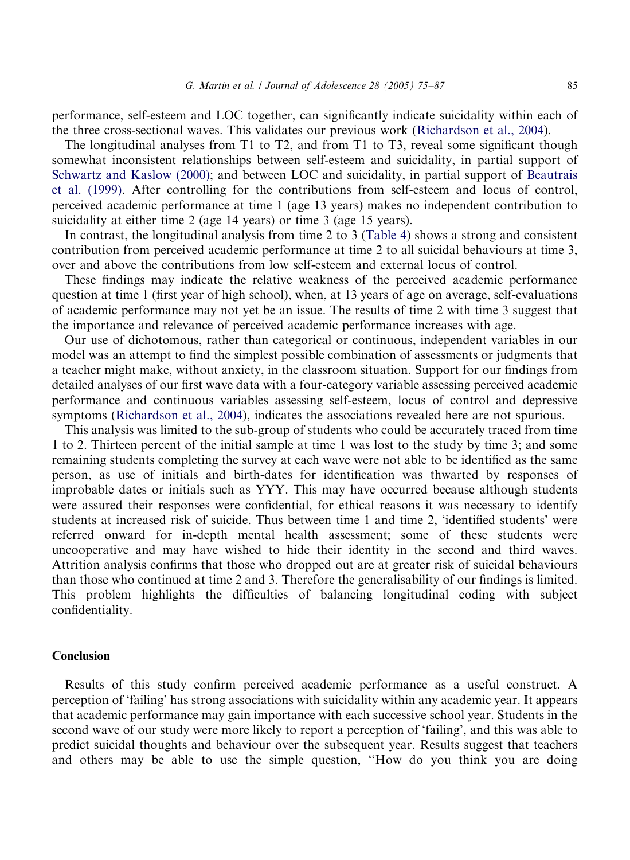performance, self-esteem and LOC together, can significantly indicate suicidality within each of the three cross-sectional waves. This validates our previous work ([Richardson et al., 2004\)](#page-12-0).

The longitudinal analyses from T1 to T2, and from T1 to T3, reveal some significant though somewhat inconsistent relationships between self-esteem and suicidality, in partial support of [Schwartz and Kaslow \(2000\)](#page-12-0); and between LOC and suicidality, in partial support of [Beautrais](#page-11-0) [et al. \(1999\)](#page-11-0). After controlling for the contributions from self-esteem and locus of control, perceived academic performance at time 1 (age 13 years) makes no independent contribution to suicidality at either time 2 (age 14 years) or time 3 (age 15 years).

In contrast, the longitudinal analysis from time 2 to 3 ([Table 4](#page-8-0)) shows a strong and consistent contribution from perceived academic performance at time 2 to all suicidal behaviours at time 3, over and above the contributions from low self-esteem and external locus of control.

These findings may indicate the relative weakness of the perceived academic performance question at time 1 (first year of high school), when, at 13 years of age on average, self-evaluations of academic performance may not yet be an issue. The results of time 2 with time 3 suggest that the importance and relevance of perceived academic performance increases with age.

Our use of dichotomous, rather than categorical or continuous, independent variables in our model was an attempt to find the simplest possible combination of assessments or judgments that a teacher might make, without anxiety, in the classroom situation. Support for our findings from detailed analyses of our first wave data witha four-category variable assessing perceived academic performance and continuous variables assessing self-esteem, locus of control and depressive symptoms ([Richardson et al., 2004\)](#page-12-0), indicates the associations revealed here are not spurious.

This analysis was limited to the sub-group of students who could be accurately traced from time 1 to 2. Thirteen percent of the initial sample at time 1 was lost to the study by time 3; and some remaining students completing the survey at each wave were not able to be identified as the same person, as use of initials and birth-dates for identification was thwarted by responses of improbable dates or initials such as YYY. This may have occurred because although students were assured their responses were confidential, for ethical reasons it was necessary to identify students at increased risk of suicide. Thus between time 1 and time 2, 'identified students' were referred onward for in-depth mental health assessment; some of these students were uncooperative and may have wished to hide their identity in the second and third waves. Attrition analysis confirms that those who dropped out are at greater risk of suicidal behaviours than those who continued at time 2 and 3. Therefore the generalisability of our findings is limited. This problem highlights the difficulties of balancing longitudinal coding with subject confidentiality.

### Conclusion

Results of this study confirm perceived academic performance as a useful construct. A perception of 'failing' has strong associations with suicidality within any academic year. It appears that academic performance may gain importance with each successive school year. Students in the second wave of our study were more likely to report a perception of 'failing', and this was able to predict suicidal thoughts and behaviour over the subsequent year. Results suggest that teachers and others may be able to use the simple question, ''How do you think you are doing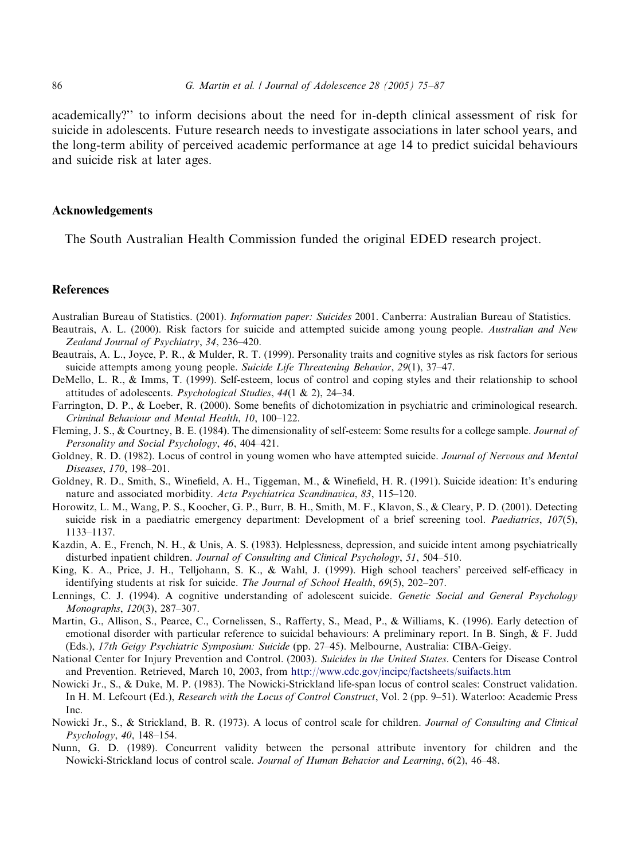<span id="page-11-0"></span>academically?'' to inform decisions about the need for in-depth clinical assessment of risk for suicide in adolescents. Future research needs to investigate associations in later school years, and the long-term ability of perceived academic performance at age 14 to predict suicidal behaviours and suicide risk at later ages.

#### Acknowledgements

The South Australian Health Commission funded the original EDED research project.

## References

Australian Bureau of Statistics. (2001). Information paper: Suicides 2001. Canberra: Australian Bureau of Statistics.

- Beautrais, A. L. (2000). Risk factors for suicide and attempted suicide among young people. Australian and New Zealand Journal of Psychiatry, 34, 236–420.
- Beautrais, A. L., Joyce, P. R., & Mulder, R. T. (1999). Personality traits and cognitive styles as risk factors for serious suicide attempts among young people. Suicide Life Threatening Behavior, 29(1), 37–47.
- DeMello, L. R., & Imms, T. (1999). Self-esteem, locus of control and coping styles and their relationship to school attitudes of adolescents. Psychological Studies, 44(1 & 2), 24–34.
- Farrington, D. P., & Loeber, R. (2000). Some benefits of dichotomization in psychiatric and criminological research. Criminal Behaviour and Mental Health, 10, 100–122.
- Fleming, J. S., & Courtney, B. E. (1984). The dimensionality of self-esteem: Some results for a college sample. Journal of Personality and Social Psychology, 46, 404–421.
- Goldney, R. D. (1982). Locus of control in young women who have attempted suicide. Journal of Nervous and Mental Diseases, 170, 198–201.
- Goldney, R. D., Smith, S., Winefield, A. H., Tiggeman, M., & Winefield, H. R. (1991). Suicide ideation: It's enduring nature and associated morbidity. Acta Psychiatrica Scandinavica, 83, 115–120.
- Horowitz, L. M., Wang, P. S., Koocher, G. P., Burr, B. H., Smith, M. F., Klavon, S., & Cleary, P. D. (2001). Detecting suicide risk in a paediatric emergency department: Development of a brief screening tool. Paediatrics, 107(5), 1133–1137.
- Kazdin, A. E., French, N. H., & Unis, A. S. (1983). Helplessness, depression, and suicide intent among psychiatrically disturbed inpatient children. Journal of Consulting and Clinical Psychology, 51, 504–510.
- King, K. A., Price, J. H., Telljohann, S. K., & Wahl, J. (1999). High school teachers' perceived self-efficacy in identifying students at risk for suicide. The Journal of School Health, 69(5), 202–207.
- Lennings, C. J. (1994). A cognitive understanding of adolescent suicide. Genetic Social and General Psychology Monographs, 120(3), 287–307.
- Martin, G., Allison, S., Pearce, C., Cornelissen, S., Rafferty, S., Mead, P., & Williams, K. (1996). Early detection of emotional disorder with particular reference to suicidal behaviours: A preliminary report. In B. Singh, & F. Judd (Eds.), 17th Geigy Psychiatric Symposium: Suicide (pp. 27–45). Melbourne, Australia: CIBA-Geigy.
- National Center for Injury Prevention and Control. (2003). Suicides in the United States. Centers for Disease Control and Prevention. Retrieved, March 10, 2003, from <http://www.cdc.gov/incipc/factsheets/suifacts.htm>
- Nowicki Jr., S., & Duke, M. P. (1983). The Nowicki-Strickland life-span locus of control scales: Construct validation. In H. M. Lefcourt (Ed.), Research with the Locus of Control Construct, Vol. 2 (pp. 9–51). Waterloo: Academic Press Inc.
- Nowicki Jr., S., & Strickland, B. R. (1973). A locus of control scale for children. Journal of Consulting and Clinical Psychology, 40, 148–154.
- Nunn, G. D. (1989). Concurrent validity between the personal attribute inventory for children and the Nowicki-Strickland locus of control scale. Journal of Human Behavior and Learning, 6(2), 46–48.